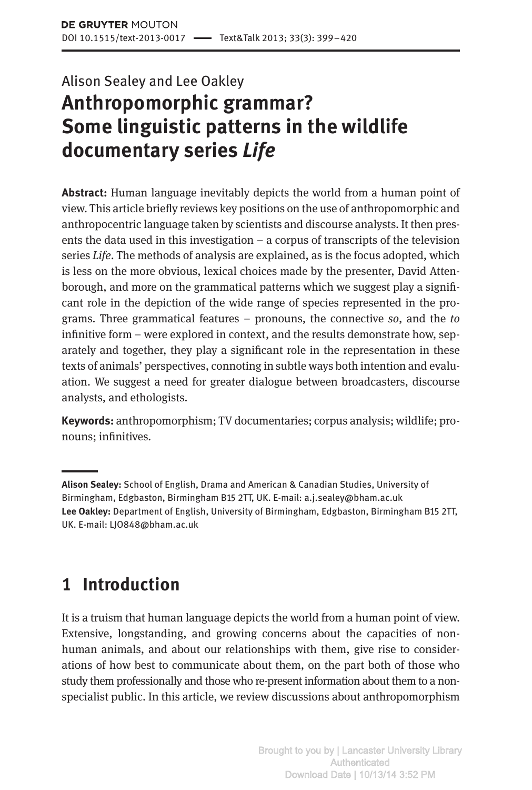# Alison Sealey and Lee Oakley **Anthropomorphic grammar? Some linguistic patterns in the wildlife documentary series** *Life*

**Abstract:** Human language inevitably depicts the world from a human point of view. This article briefly reviews key positions on the use of anthropomorphic and anthropocentric language taken by scientists and discourse analysts. It then presents the data used in this investigation – a corpus of transcripts of the television series *Life*. The methods of analysis are explained, as is the focus adopted, which is less on the more obvious, lexical choices made by the presenter, David Attenborough, and more on the grammatical patterns which we suggest play a significant role in the depiction of the wide range of species represented in the programs. Three grammatical features – pronouns, the connective *so*, and the *to* infinitive form – were explored in context, and the results demonstrate how, separately and together, they play a significant role in the representation in these texts of animals' perspectives, connoting in subtle ways both intention and evaluation. We suggest a need for greater dialogue between broadcasters, discourse analysts, and ethologists.

**Keywords:** anthropomorphism; TV documentaries; corpus analysis; wildlife; pronouns; infinitives.

**Alison Sealey:** School of English, Drama and American & Canadian Studies, University of Birmingham, Edgbaston, Birmingham B15 2TT, UK. E-mail: a.j.sealey@bham.ac.uk **Lee Oakley:** Department of English, University of Birmingham, Edgbaston, Birmingham B15 2TT, UK. E-mail: LJO848@bham.ac.uk

# **1 Introduction**

It is a truism that human language depicts the world from a human point of view. Extensive, longstanding, and growing concerns about the capacities of nonhuman animals, and about our relationships with them, give rise to considerations of how best to communicate about them, on the part both of those who study them professionally and those who re-present information about them to a nonspecialist public. In this article, we review discussions about anthropomorphism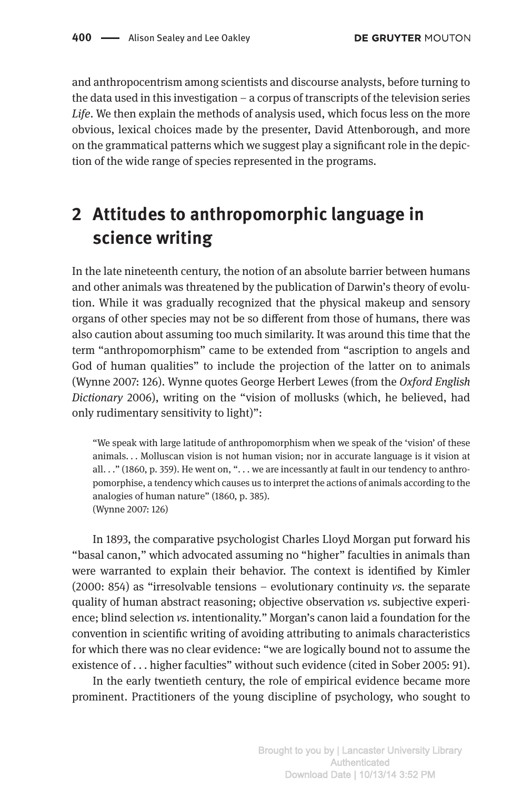and anthropocentrism among scientists and discourse analysts, before turning to the data used in this investigation – a corpus of transcripts of the television series *Life*. We then explain the methods of analysis used, which focus less on the more obvious, lexical choices made by the presenter, David Attenborough, and more on the grammatical patterns which we suggest play a significant role in the depiction of the wide range of species represented in the programs.

# **2 Attitudes to anthropomorphic language in science writing**

In the late nineteenth century, the notion of an absolute barrier between humans and other animals was threatened by the publication of Darwin's theory of evolution. While it was gradually recognized that the physical makeup and sensory organs of other species may not be so different from those of humans, there was also caution about assuming too much similarity. It was around this time that the term "anthropomorphism" came to be extended from "ascription to angels and God of human qualities" to include the projection of the latter on to animals (Wynne 2007: 126). Wynne quotes George Herbert Lewes (from the *Oxford English Dictionary* 2006), writing on the "vision of mollusks (which, he believed, had only rudimentary sensitivity to light)":

"We speak with large latitude of anthropomorphism when we speak of the 'vision' of these animals. . . Molluscan vision is not human vision; nor in accurate language is it vision at all. . ." (1860, p. 359). He went on, "... we are incessantly at fault in our tendency to anthropomorphise, a tendency which causes us to interpret the actions of animals according to the analogies of human nature" (1860, p. 385). (Wynne 2007: 126)

In 1893, the comparative psychologist Charles Lloyd Morgan put forward his "basal canon," which advocated assuming no "higher" faculties in animals than were warranted to explain their behavior. The context is identified by Kimler (2000: 854) as "irresolvable tensions – evolutionary continuity *vs.* the separate quality of human abstract reasoning; objective observation *vs.* subjective experience; blind selection *vs.* intentionality." Morgan's canon laid a foundation for the convention in scientific writing of avoiding attributing to animals characteristics for which there was no clear evidence: "we are logically bound not to assume the existence of . . . higher faculties" without such evidence (cited in Sober 2005: 91).

In the early twentieth century, the role of empirical evidence became more prominent. Practitioners of the young discipline of psychology, who sought to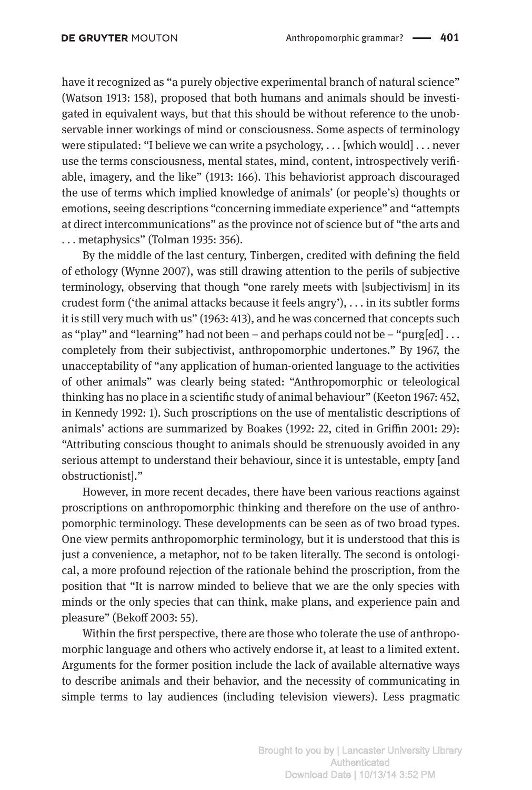have it recognized as "a purely objective experimental branch of natural science" (Watson 1913: 158), proposed that both humans and animals should be investigated in equivalent ways, but that this should be without reference to the unobservable inner workings of mind or consciousness. Some aspects of terminology were stipulated: "I believe we can write a psychology, ... [which would] ... never use the terms consciousness, mental states, mind, content, introspectively verifiable, imagery, and the like" (1913: 166). This behaviorist approach discouraged the use of terms which implied knowledge of animals' (or people's) thoughts or emotions, seeing descriptions "concerning immediate experience" and "attempts at direct intercommunications" as the province not of science but of "the arts and . . . metaphysics" (Tolman 1935: 356).

By the middle of the last century, Tinbergen, credited with defining the field of ethology (Wynne 2007), was still drawing attention to the perils of subjective terminology, observing that though "one rarely meets with [subjectivism] in its crudest form ('the animal attacks because it feels angry'), . . . in its subtler forms it is still very much with us" (1963: 413), and he was concerned that concepts such as "play" and "learning" had not been – and perhaps could not be – "purg[ed]  $\dots$ completely from their subjectivist, anthropomorphic undertones." By 1967, the unacceptability of "any application of human-oriented language to the activities of other animals" was clearly being stated: "Anthropomorphic or teleological thinking has no place in a scientific study of animal behaviour" (Keeton 1967: 452, in Kennedy 1992: 1). Such proscriptions on the use of mentalistic descriptions of animals' actions are summarized by Boakes (1992: 22, cited in Griffin 2001: 29): "Attributing conscious thought to animals should be strenuously avoided in any serious attempt to understand their behaviour, since it is untestable, empty [and obstructionist]."

However, in more recent decades, there have been various reactions against proscriptions on anthropomorphic thinking and therefore on the use of anthropomorphic terminology. These developments can be seen as of two broad types. One view permits anthropomorphic terminology, but it is understood that this is just a convenience, a metaphor, not to be taken literally. The second is ontological, a more profound rejection of the rationale behind the proscription, from the position that "It is narrow minded to believe that we are the only species with minds or the only species that can think, make plans, and experience pain and pleasure" (Bekoff 2003: 55).

Within the first perspective, there are those who tolerate the use of anthropomorphic language and others who actively endorse it, at least to a limited extent. Arguments for the former position include the lack of available alternative ways to describe animals and their behavior, and the necessity of communicating in simple terms to lay audiences (including television viewers). Less pragmatic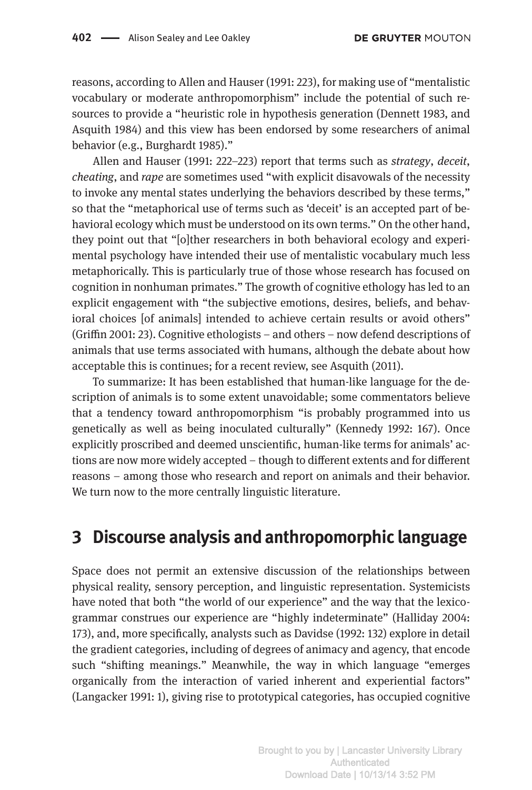reasons, according to Allen and Hauser (1991: 223), for making use of "mentalistic vocabulary or moderate anthropomorphism" include the potential of such resources to provide a "heuristic role in hypothesis generation (Dennett 1983, and Asquith 1984) and this view has been endorsed by some researchers of animal behavior (e.g., Burghardt 1985)."

Allen and Hauser (1991: 222–223) report that terms such as *strategy*, *deceit*, *cheating*, and *rape* are sometimes used "with explicit disavowals of the necessity to invoke any mental states underlying the behaviors described by these terms," so that the "metaphorical use of terms such as 'deceit' is an accepted part of behavioral ecology which must be understood on its own terms." On the other hand, they point out that "[o]ther researchers in both behavioral ecology and experimental psychology have intended their use of mentalistic vocabulary much less metaphorically. This is particularly true of those whose research has focused on cognition in nonhuman primates." The growth of cognitive ethology has led to an explicit engagement with "the subjective emotions, desires, beliefs, and behavioral choices [of animals] intended to achieve certain results or avoid others" (Griffin 2001: 23). Cognitive ethologists – and others – now defend descriptions of animals that use terms associated with humans, although the debate about how acceptable this is continues; for a recent review, see Asquith (2011).

To summarize: It has been established that human-like language for the description of animals is to some extent unavoidable; some commentators believe that a tendency toward anthropomorphism "is probably programmed into us genetically as well as being inoculated culturally" (Kennedy 1992: 167). Once explicitly proscribed and deemed unscientific, human-like terms for animals' actions are now more widely accepted – though to different extents and for different reasons – among those who research and report on animals and their behavior. We turn now to the more centrally linguistic literature.

#### **3 Discourse analysis and anthropomorphic language**

Space does not permit an extensive discussion of the relationships between physical reality, sensory perception, and linguistic representation. Systemicists have noted that both "the world of our experience" and the way that the lexicogrammar construes our experience are "highly indeterminate" (Halliday 2004: 173), and, more specifically, analysts such as Davidse (1992: 132) explore in detail the gradient categories, including of degrees of animacy and agency, that encode such "shifting meanings." Meanwhile, the way in which language "emerges organically from the interaction of varied inherent and experiential factors" (Langacker 1991: 1), giving rise to prototypical categories, has occupied cognitive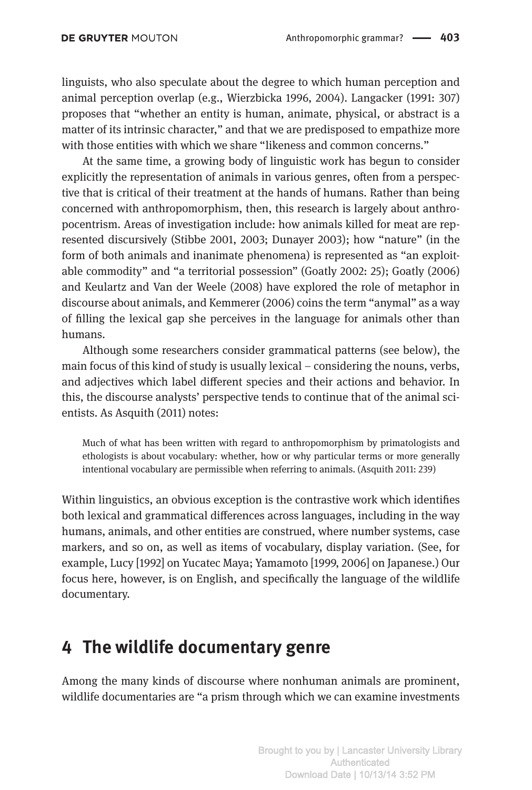linguists, who also speculate about the degree to which human perception and animal perception overlap (e.g., Wierzbicka 1996, 2004). Langacker (1991: 307) proposes that "whether an entity is human, animate, physical, or abstract is a matter of its intrinsic character," and that we are predisposed to empathize more with those entities with which we share "likeness and common concerns."

At the same time, a growing body of linguistic work has begun to consider explicitly the representation of animals in various genres, often from a perspective that is critical of their treatment at the hands of humans. Rather than being concerned with anthropomorphism, then, this research is largely about anthropocentrism. Areas of investigation include: how animals killed for meat are represented discursively (Stibbe 2001, 2003; Dunayer 2003); how "nature" (in the form of both animals and inanimate phenomena) is represented as "an exploitable commodity" and "a territorial possession" (Goatly 2002: 25); Goatly (2006) and Keulartz and Van der Weele (2008) have explored the role of metaphor in discourse about animals, and Kemmerer (2006) coins the term "anymal" as a way of filling the lexical gap she perceives in the language for animals other than humans.

Although some researchers consider grammatical patterns (see below), the main focus of this kind of study is usually lexical – considering the nouns, verbs, and adjectives which label different species and their actions and behavior. In this, the discourse analysts' perspective tends to continue that of the animal scientists. As Asquith (2011) notes:

Much of what has been written with regard to anthropomorphism by primatologists and ethologists is about vocabulary: whether, how or why particular terms or more generally intentional vocabulary are permissible when referring to animals. (Asquith 2011: 239)

Within linguistics, an obvious exception is the contrastive work which identifies both lexical and grammatical differences across languages, including in the way humans, animals, and other entities are construed, where number systems, case markers, and so on, as well as items of vocabulary, display variation. (See, for example, Lucy [1992] on Yucatec Maya; Yamamoto [1999, 2006] on Japanese.) Our focus here, however, is on English, and specifically the language of the wildlife documentary.

## **4 The wildlife documentary genre**

Among the many kinds of discourse where nonhuman animals are prominent, wildlife documentaries are "a prism through which we can examine investments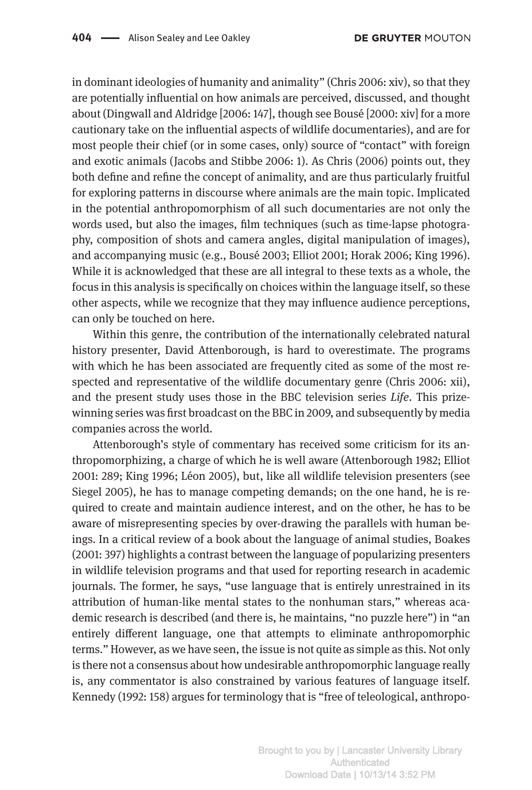in dominant ideologies of humanity and animality" (Chris 2006: xiv), so that they are potentially influential on how animals are perceived, discussed, and thought about (Dingwall and Aldridge [2006: 147], though see Bousé [2000: xiv] for a more cautionary take on the influential aspects of wildlife documentaries), and are for most people their chief (or in some cases, only) source of "contact" with foreign and exotic animals (Jacobs and Stibbe 2006: 1). As Chris (2006) points out, they both define and refine the concept of animality, and are thus particularly fruitful for exploring patterns in discourse where animals are the main topic. Implicated in the potential anthropomorphism of all such documentaries are not only the words used, but also the images, film techniques (such as time-lapse photography, composition of shots and camera angles, digital manipulation of images), and accompanying music (e.g., Bousé 2003; Elliot 2001; Horak 2006; King 1996). While it is acknowledged that these are all integral to these texts as a whole, the focus in this analysis is specifically on choices within the language itself, so these other aspects, while we recognize that they may influence audience perceptions, can only be touched on here.

Within this genre, the contribution of the internationally celebrated natural history presenter, David Attenborough, is hard to overestimate. The programs with which he has been associated are frequently cited as some of the most respected and representative of the wildlife documentary genre (Chris 2006: xii), and the present study uses those in the BBC television series *Life*. This prizewinning series was first broadcast on the BBC in 2009, and subsequently by media companies across the world.

Attenborough's style of commentary has received some criticism for its anthropomorphizing, a charge of which he is well aware (Attenborough 1982; Elliot 2001: 289; King 1996; Léon 2005), but, like all wildlife television presenters (see Siegel 2005), he has to manage competing demands; on the one hand, he is required to create and maintain audience interest, and on the other, he has to be aware of misrepresenting species by over-drawing the parallels with human beings. In a critical review of a book about the language of animal studies, Boakes (2001: 397) highlights a contrast between the language of popularizing presenters in wildlife television programs and that used for reporting research in academic journals. The former, he says, "use language that is entirely unrestrained in its attribution of human-like mental states to the nonhuman stars," whereas academic research is described (and there is, he maintains, "no puzzle here") in "an entirely different language, one that attempts to eliminate anthropomorphic terms." However, as we have seen, the issue is not quite as simple as this. Not only is there not a consensus about how undesirable anthropomorphic language really is, any commentator is also constrained by various features of language itself. Kennedy (1992: 158) argues for terminology that is "free of teleological, anthropo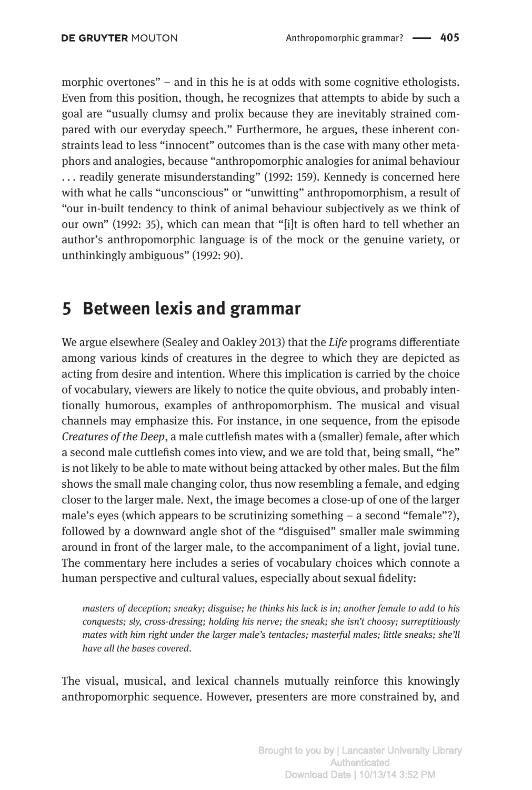morphic overtones" – and in this he is at odds with some cognitive ethologists. Even from this position, though, he recognizes that attempts to abide by such a goal are "usually clumsy and prolix because they are inevitably strained compared with our everyday speech." Furthermore, he argues, these inherent constraints lead to less "innocent" outcomes than is the case with many other metaphors and analogies, because "anthropomorphic analogies for animal behaviour . . . readily generate misunderstanding" (1992: 159). Kennedy is concerned here with what he calls "unconscious" or "unwitting" anthropomorphism, a result of "our in-built tendency to think of animal behaviour subjectively as we think of our own" (1992: 35), which can mean that "[i]t is often hard to tell whether an author's anthropomorphic language is of the mock or the genuine variety, or unthinkingly ambiguous" (1992: 90).

### **5 Between lexis and grammar**

We argue elsewhere (Sealey and Oakley 2013) that the *Life* programs differentiate among various kinds of creatures in the degree to which they are depicted as acting from desire and intention. Where this implication is carried by the choice of vocabulary, viewers are likely to notice the quite obvious, and probably intentionally humorous, examples of anthropomorphism. The musical and visual channels may emphasize this. For instance, in one sequence, from the episode *Creatures of the Deep*, a male cuttlefish mates with a (smaller) female, after which a second male cuttlefish comes into view, and we are told that, being small, "he" is not likely to be able to mate without being attacked by other males. But the film shows the small male changing color, thus now resembling a female, and edging closer to the larger male. Next, the image becomes a close-up of one of the larger male's eyes (which appears to be scrutinizing something – a second "female"?), followed by a downward angle shot of the "disguised" smaller male swimming around in front of the larger male, to the accompaniment of a light, jovial tune. The commentary here includes a series of vocabulary choices which connote a human perspective and cultural values, especially about sexual fidelity:

*masters of deception; sneaky; disguise; he thinks his luck is in; another female to add to his conquests; sly, cross-dressing; holding his nerve; the sneak; she isn't choosy; surreptitiously mates with him right under the larger male's tentacles; masterful males; little sneaks; she'll have all the bases covered*.

The visual, musical, and lexical channels mutually reinforce this knowingly anthropomorphic sequence. However, presenters are more constrained by, and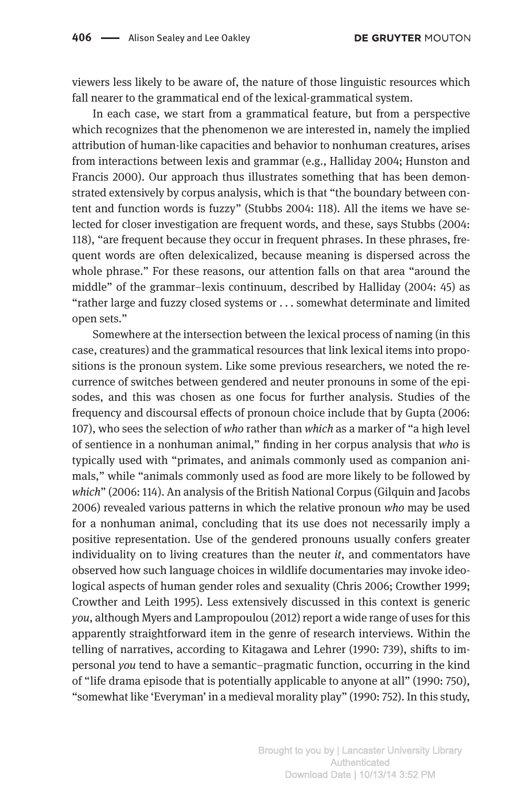viewers less likely to be aware of, the nature of those linguistic resources which fall nearer to the grammatical end of the lexical-grammatical system.

In each case, we start from a grammatical feature, but from a perspective which recognizes that the phenomenon we are interested in, namely the implied attribution of human-like capacities and behavior to nonhuman creatures, arises from interactions between lexis and grammar (e.g., Halliday 2004; Hunston and Francis 2000). Our approach thus illustrates something that has been demonstrated extensively by corpus analysis, which is that "the boundary between content and function words is fuzzy" (Stubbs 2004: 118). All the items we have selected for closer investigation are frequent words, and these, says Stubbs (2004: 118), "are frequent because they occur in frequent phrases. In these phrases, frequent words are often delexicalized, because meaning is dispersed across the whole phrase." For these reasons, our attention falls on that area "around the middle" of the grammar–lexis continuum, described by Halliday (2004: 45) as "rather large and fuzzy closed systems or . . . somewhat determinate and limited open sets."

Somewhere at the intersection between the lexical process of naming (in this case, creatures) and the grammatical resources that link lexical items into propositions is the pronoun system. Like some previous researchers, we noted the recurrence of switches between gendered and neuter pronouns in some of the episodes, and this was chosen as one focus for further analysis. Studies of the frequency and discoursal effects of pronoun choice include that by Gupta (2006: 107), who sees the selection of *who* rather than *which* as a marker of "a high level of sentience in a nonhuman animal," finding in her corpus analysis that *who* is typically used with "primates, and animals commonly used as companion animals," while "animals commonly used as food are more likely to be followed by *which*" (2006: 114). An analysis of the British National Corpus (Gilquin and Jacobs 2006) revealed various patterns in which the relative pronoun *who* may be used for a nonhuman animal, concluding that its use does not necessarily imply a positive representation. Use of the gendered pronouns usually confers greater individuality on to living creatures than the neuter *it*, and commentators have observed how such language choices in wildlife documentaries may invoke ideological aspects of human gender roles and sexuality (Chris 2006; Crowther 1999; Crowther and Leith 1995). Less extensively discussed in this context is generic *you*, although Myers and Lampropoulou (2012) report a wide range of uses for this apparently straightforward item in the genre of research interviews. Within the telling of narratives, according to Kitagawa and Lehrer (1990: 739), shifts to impersonal *you* tend to have a semantic–pragmatic function, occurring in the kind of "life drama episode that is potentially applicable to anyone at all" (1990: 750), "somewhat like 'Everyman' in a medieval morality play" (1990: 752). In this study,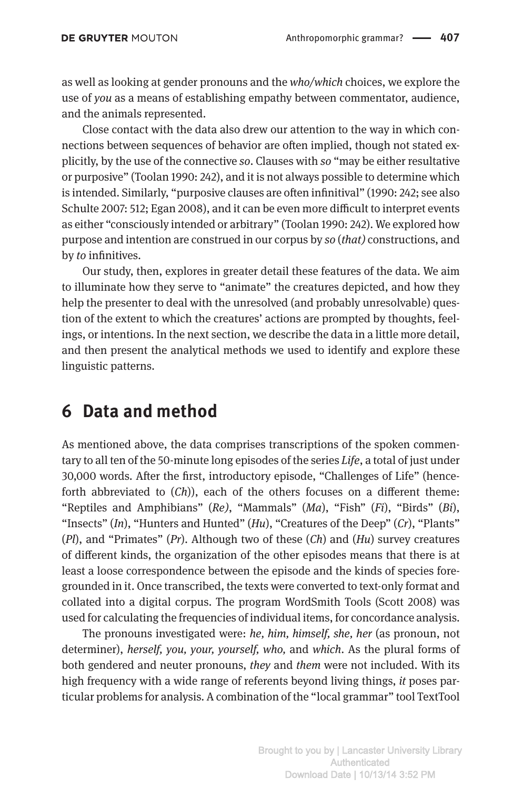as well as looking at gender pronouns and the *who/which* choices, we explore the use of *you* as a means of establishing empathy between commentator, audience, and the animals represented.

Close contact with the data also drew our attention to the way in which connections between sequences of behavior are often implied, though not stated explicitly, by the use of the connective *so*. Clauses with *so* "may be either resultative or purposive" (Toolan 1990: 242), and it is not always possible to determine which is intended. Similarly, "purposive clauses are often infinitival" (1990: 242; see also Schulte 2007: 512; Egan 2008), and it can be even more difficult to interpret events as either "consciously intended or arbitrary" (Toolan 1990: 242). We explored how purpose and intention are construed in our corpus by *so* (*that)* constructions, and by *to* infinitives.

Our study, then, explores in greater detail these features of the data. We aim to illuminate how they serve to "animate" the creatures depicted, and how they help the presenter to deal with the unresolved (and probably unresolvable) question of the extent to which the creatures' actions are prompted by thoughts, feelings, or intentions. In the next section, we describe the data in a little more detail, and then present the analytical methods we used to identify and explore these linguistic patterns.

#### **6 Data and method**

As mentioned above, the data comprises transcriptions of the spoken commentary to all ten of the 50-minute long episodes of the series *Life*, a total of just under 30,000 words. After the first, introductory episode, "Challenges of Life" (henceforth abbreviated to (*Ch*)), each of the others focuses on a different theme: "Reptiles and Amphibians" (*Re)*, "Mammals" (*Ma*), "Fish" (*Fi*), "Birds" (*Bi*), "Insects" (*In*), "Hunters and Hunted" (*Hu*), "Creatures of the Deep" (*Cr*), "Plants" (*Pl*), and "Primates" (*Pr*). Although two of these (*Ch*) and (*Hu*) survey creatures of different kinds, the organization of the other episodes means that there is at least a loose correspondence between the episode and the kinds of species foregrounded in it. Once transcribed, the texts were converted to text-only format and collated into a digital corpus. The program WordSmith Tools (Scott 2008) was used for calculating the frequencies of individual items, for concordance analysis.

The pronouns investigated were: *he, him, himself, she, her* (as pronoun, not determiner), *herself, you, your, yourself, who,* and *which*. As the plural forms of both gendered and neuter pronouns, *they* and *them* were not included. With its high frequency with a wide range of referents beyond living things, *it* poses particular problems for analysis. A combination of the "local grammar" tool TextTool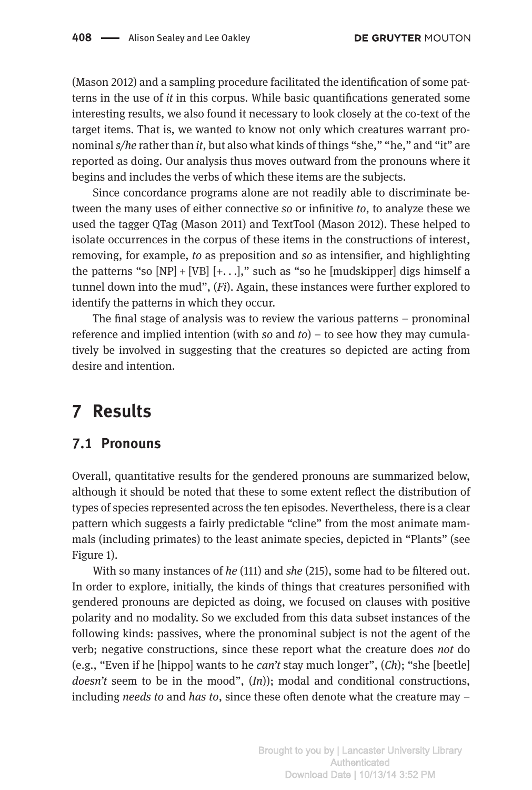(Mason 2012) and a sampling procedure facilitated the identification of some patterns in the use of *it* in this corpus. While basic quantifications generated some interesting results, we also found it necessary to look closely at the co-text of the target items. That is, we wanted to know not only which creatures warrant pronominal *s/he* rather than *it*, but also what kinds of things "she," "he," and "it" are reported as doing. Our analysis thus moves outward from the pronouns where it begins and includes the verbs of which these items are the subjects.

Since concordance programs alone are not readily able to discriminate between the many uses of either connective *so* or infinitive *to*, to analyze these we used the tagger QTag (Mason 2011) and TextTool (Mason 2012). These helped to isolate occurrences in the corpus of these items in the constructions of interest, removing, for example, *to* as preposition and *so* as intensifier, and highlighting the patterns "so  $[NP] + [VB]$   $[+. . .]$ ," such as "so he [mudskipper] digs himself a tunnel down into the mud", (*Fi*). Again, these instances were further explored to identify the patterns in which they occur.

The final stage of analysis was to review the various patterns – pronominal reference and implied intention (with *so* and *to*) – to see how they may cumulatively be involved in suggesting that the creatures so depicted are acting from desire and intention.

## **7 Results**

#### **7.1 Pronouns**

Overall, quantitative results for the gendered pronouns are summarized below, although it should be noted that these to some extent reflect the distribution of types of species represented across the ten episodes. Nevertheless, there is a clear pattern which suggests a fairly predictable "cline" from the most animate mammals (including primates) to the least animate species, depicted in "Plants" (see Figure 1).

With so many instances of *he* (111) and *she* (215), some had to be filtered out. In order to explore, initially, the kinds of things that creatures personified with gendered pronouns are depicted as doing, we focused on clauses with positive polarity and no modality. So we excluded from this data subset instances of the following kinds: passives, where the pronominal subject is not the agent of the verb; negative constructions, since these report what the creature does *not* do (e.g., "Even if he [hippo] wants to he *can't* stay much longer", (*Ch*); "she [beetle] *doesn't* seem to be in the mood", (*In*)); modal and conditional constructions, including *needs to* and *has to*, since these often denote what the creature may –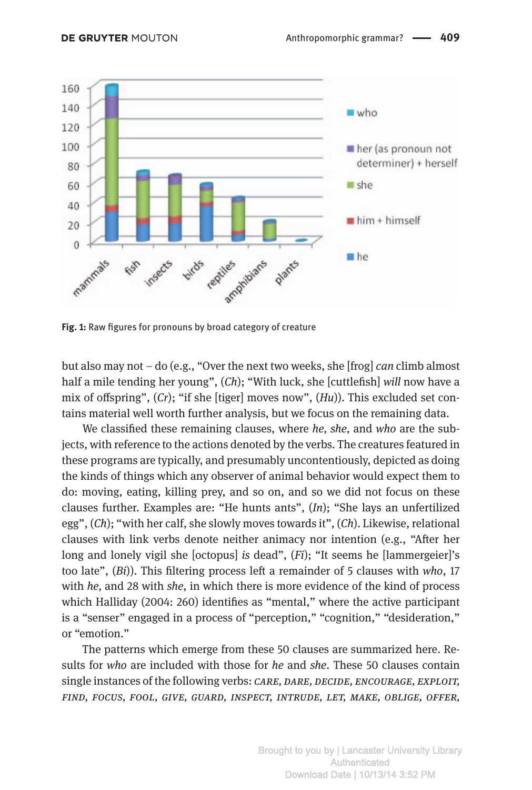

**Fig. 1:** Raw figures for pronouns by broad category of creature

but also may not – do (e.g., "Over the next two weeks, she [frog] *can* climb almost half a mile tending her young", (*Ch*); "With luck, she [cuttlefish] *will* now have a mix of offspring", (*Cr*); "if she [tiger] moves now", (*Hu*)). This excluded set contains material well worth further analysis, but we focus on the remaining data.

We classified these remaining clauses, where *he, she,* and *who* are the subjects, with reference to the actions denoted by the verbs. The creatures featured in these programs are typically, and presumably uncontentiously, depicted as doing the kinds of things which any observer of animal behavior would expect them to do: moving, eating, killing prey, and so on, and so we did not focus on these clauses further. Examples are: "He hunts ants", (*In*); "She lays an unfertilized egg", (*Ch*); "with her calf, she slowly moves towards it", (*Ch*). Likewise, relational clauses with link verbs denote neither animacy nor intention (e.g., "After her long and lonely vigil she [octopus] *is* dead", (*Fi*); "It seems he [lammergeier]'s too late", (*Bi*)). This filtering process left a remainder of 5 clauses with *who*, 17 with *he,* and 28 with *she*, in which there is more evidence of the kind of process which Halliday (2004: 260) identifies as "mental," where the active participant is a "senser" engaged in a process of "perception," "cognition," "desideration," or "emotion."

The patterns which emerge from these 50 clauses are summarized here. Results for *who* are included with those for *he* and *she*. These 50 clauses contain single instances of the following verbs: *care, dare, decide, encourage, exploit, find, focus, fool, give, guard, inspect, intrude, let, make, oblige, offer,*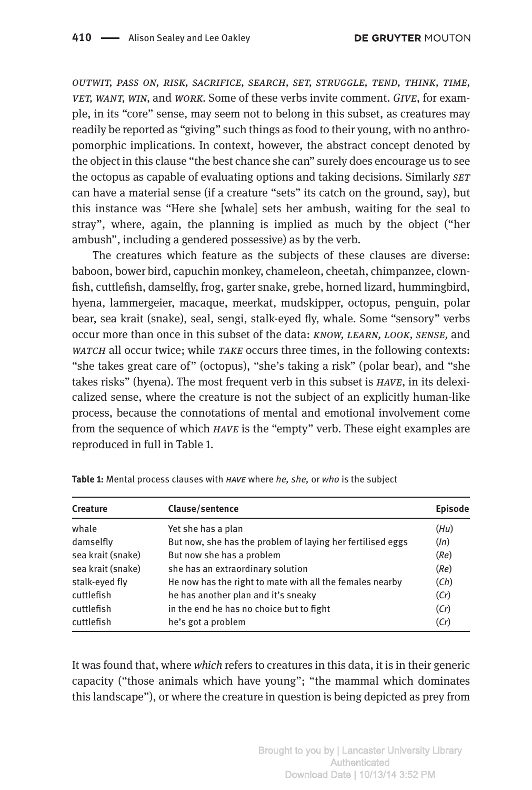*outwit, pass on, risk, sacrifice, search, set, struggle, tend, think, time, vet, want, win,* and *work.* Some of these verbs invite comment. *Give*, for example, in its "core" sense, may seem not to belong in this subset, as creatures may readily be reported as "giving" such things as food to their young, with no anthropomorphic implications. In context, however, the abstract concept denoted by the object in this clause "the best chance she can" surely does encourage us to see the octopus as capable of evaluating options and taking decisions. Similarly *set* can have a material sense (if a creature "sets" its catch on the ground, say), but this instance was "Here she [whale] sets her ambush, waiting for the seal to stray", where, again, the planning is implied as much by the object ("her ambush", including a gendered possessive) as by the verb.

The creatures which feature as the subjects of these clauses are diverse: baboon, bower bird, capuchin monkey, chameleon, cheetah, chimpanzee, clownfish, cuttlefish, damselfly, frog, garter snake, grebe, horned lizard, hummingbird, hyena, lammergeier, macaque, meerkat, mudskipper, octopus, penguin, polar bear, sea krait (snake), seal, sengi, stalk-eyed fly, whale. Some "sensory" verbs occur more than once in this subset of the data: *know, learn, look, sense,* and *watch* all occur twice; while *take* occurs three times, in the following contexts: "she takes great care of" (octopus), "she's taking a risk" (polar bear), and "she takes risks" (hyena). The most frequent verb in this subset is *have*, in its delexicalized sense, where the creature is not the subject of an explicitly human-like process, because the connotations of mental and emotional involvement come from the sequence of which *have* is the "empty" verb. These eight examples are reproduced in full in Table 1.

| <b>Creature</b>   | Clause/sentence                                            | <b>Episode</b> |
|-------------------|------------------------------------------------------------|----------------|
| whale             | Yet she has a plan                                         | (Hu)           |
| damselfly         | But now, she has the problem of laying her fertilised eggs | (ln)           |
| sea krait (snake) | But now she has a problem                                  | (Re)           |
| sea krait (snake) | she has an extraordinary solution                          | (Re)           |
| stalk-eyed fly    | He now has the right to mate with all the females nearby   | (Ch)           |
| cuttlefish        | he has another plan and it's sneaky                        | (Cr)           |
| cuttlefish        | in the end he has no choice but to fight                   | (Cr)           |
| cuttlefish        | he's got a problem                                         | (Cr)           |

**Table 1:** Mental process clauses with *have* where *he, she,* or *who* is the subject

It was found that, where *which* refers to creatures in this data, it is in their generic capacity ("those animals which have young"; "the mammal which dominates this landscape"), or where the creature in question is being depicted as prey from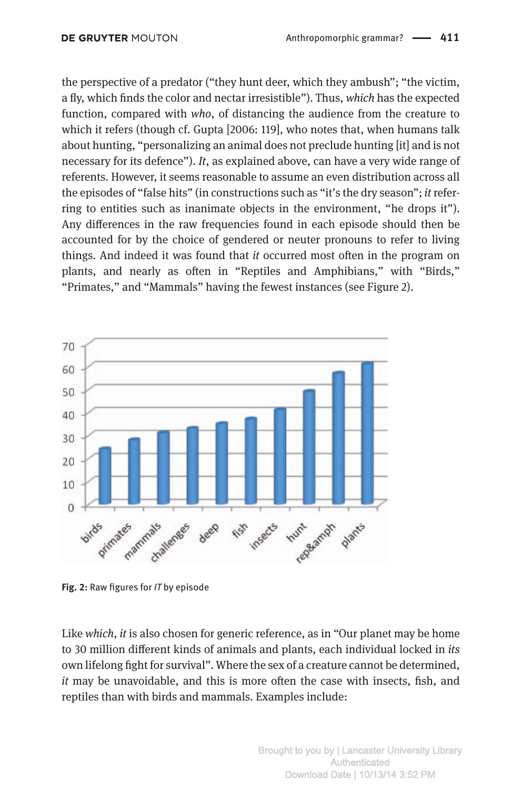the perspective of a predator ("they hunt deer, which they ambush"; "the victim, a fly, which finds the color and nectar irresistible"). Thus, *which* has the expected function, compared with *who*, of distancing the audience from the creature to which it refers (though cf. Gupta [2006: 119], who notes that, when humans talk about hunting, "personalizing an animal does not preclude hunting [it] and is not necessary for its defence"). *It*, as explained above, can have a very wide range of referents. However, it seems reasonable to assume an even distribution across all the episodes of "false hits" (in constructions such as "it's the dry season"; *it* referring to entities such as inanimate objects in the environment, "he drops it"). Any differences in the raw frequencies found in each episode should then be accounted for by the choice of gendered or neuter pronouns to refer to living things. And indeed it was found that *it* occurred most often in the program on plants, and nearly as often in "Reptiles and Amphibians," with "Birds," "Primates," and "Mammals" having the fewest instances (see Figure 2).



**Fig. 2:** Raw figures for *IT* by episode

Like *which*, *it* is also chosen for generic reference, as in "Our planet may be home to 30 million different kinds of animals and plants, each individual locked in *its* own lifelong fight for survival". Where the sex of a creature cannot be determined, *it* may be unavoidable, and this is more often the case with insects, fish, and reptiles than with birds and mammals. Examples include: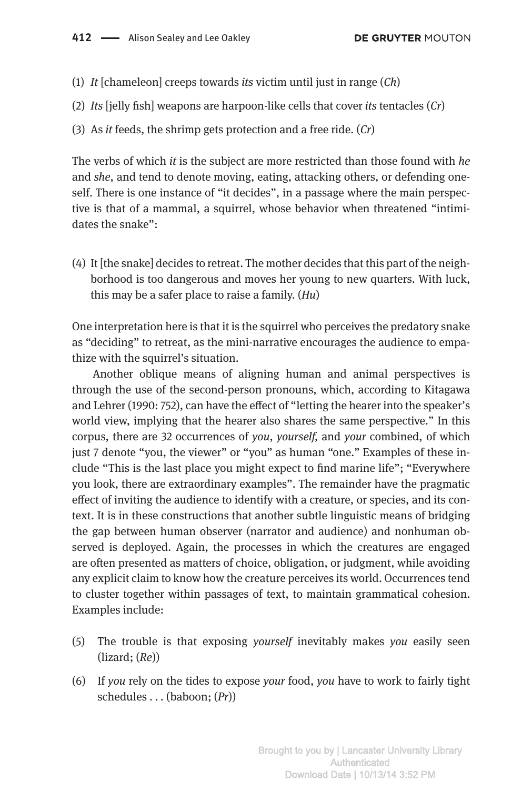- (1) *It* [chameleon] creeps towards *its* victim until just in range (*Ch*)
- (2) *Its* [jelly fish] weapons are harpoon-like cells that cover *its* tentacles (*Cr*)
- (3) As *it* feeds, the shrimp gets protection and a free ride. (*Cr*)

The verbs of which *it* is the subject are more restricted than those found with *he* and *she*, and tend to denote moving, eating, attacking others, or defending oneself. There is one instance of "it decides", in a passage where the main perspective is that of a mammal, a squirrel, whose behavior when threatened "intimidates the snake":

(4) It [the snake] decides to retreat. The mother decides that this part of the neighborhood is too dangerous and moves her young to new quarters. With luck, this may be a safer place to raise a family. (*Hu*)

One interpretation here is that it is the squirrel who perceives the predatory snake as "deciding" to retreat, as the mini-narrative encourages the audience to empathize with the squirrel's situation.

Another oblique means of aligning human and animal perspectives is through the use of the second-person pronouns, which, according to Kitagawa and Lehrer (1990: 752), can have the effect of "letting the hearer into the speaker's world view, implying that the hearer also shares the same perspective." In this corpus, there are 32 occurrences of *you*, *yourself,* and *your* combined, of which just 7 denote "you, the viewer" or "you" as human "one." Examples of these include "This is the last place you might expect to find marine life"; "Everywhere you look, there are extraordinary examples". The remainder have the pragmatic effect of inviting the audience to identify with a creature, or species, and its context. It is in these constructions that another subtle linguistic means of bridging the gap between human observer (narrator and audience) and nonhuman observed is deployed. Again, the processes in which the creatures are engaged are often presented as matters of choice, obligation, or judgment, while avoiding any explicit claim to know how the creature perceives its world. Occurrences tend to cluster together within passages of text, to maintain grammatical cohesion. Examples include:

- (5) The trouble is that exposing *yourself* inevitably makes *you* easily seen (lizard; (*Re*))
- (6) If *you* rely on the tides to expose *your* food, *you* have to work to fairly tight schedules . . . (baboon;  $(Pr)$ )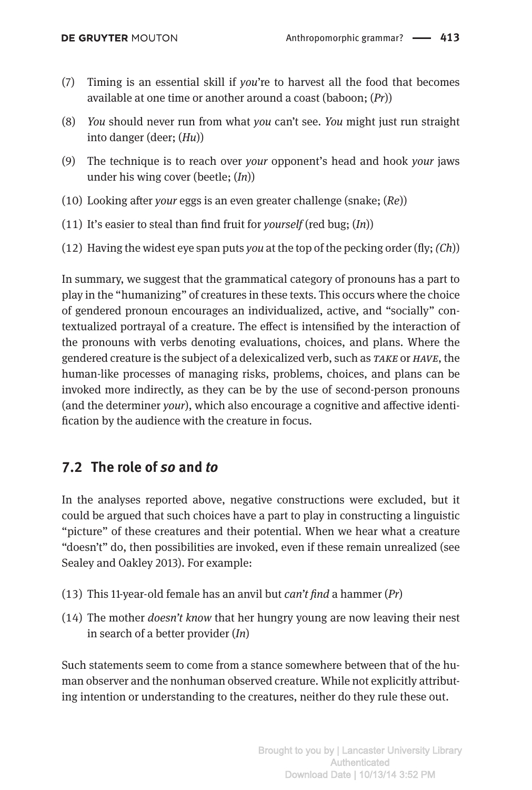- (7) Timing is an essential skill if *you*'re to harvest all the food that becomes available at one time or another around a coast (baboon; (*Pr*))
- (8) *You* should never run from what *you* can't see. *You* might just run straight into danger (deer; (*Hu*))
- (9) The technique is to reach over *your* opponent's head and hook *your* jaws under his wing cover (beetle; (*In*))
- (10) Looking after *your* eggs is an even greater challenge (snake; (*Re*))
- (11) It's easier to steal than find fruit for *yourself* (red bug; (*In*))
- (12) Having the widest eye span puts *you* at the top of the pecking order (fly; *(Ch*))

In summary, we suggest that the grammatical category of pronouns has a part to play in the "humanizing" of creatures in these texts. This occurs where the choice of gendered pronoun encourages an individualized, active, and "socially" contextualized portrayal of a creature. The effect is intensified by the interaction of the pronouns with verbs denoting evaluations, choices, and plans. Where the gendered creature is the subject of a delexicalized verb, such as *take* or *have*, the human-like processes of managing risks, problems, choices, and plans can be invoked more indirectly, as they can be by the use of second-person pronouns (and the determiner *your*), which also encourage a cognitive and affective identification by the audience with the creature in focus.

#### **7.2 The role of** *so* **and** *to*

In the analyses reported above, negative constructions were excluded, but it could be argued that such choices have a part to play in constructing a linguistic "picture" of these creatures and their potential. When we hear what a creature "doesn't" do, then possibilities are invoked, even if these remain unrealized (see Sealey and Oakley 2013). For example:

- (13) This 11-year-old female has an anvil but *can't find* a hammer (*Pr*)
- (14) The mother *doesn't know* that her hungry young are now leaving their nest in search of a better provider (*In*)

Such statements seem to come from a stance somewhere between that of the human observer and the nonhuman observed creature. While not explicitly attributing intention or understanding to the creatures, neither do they rule these out.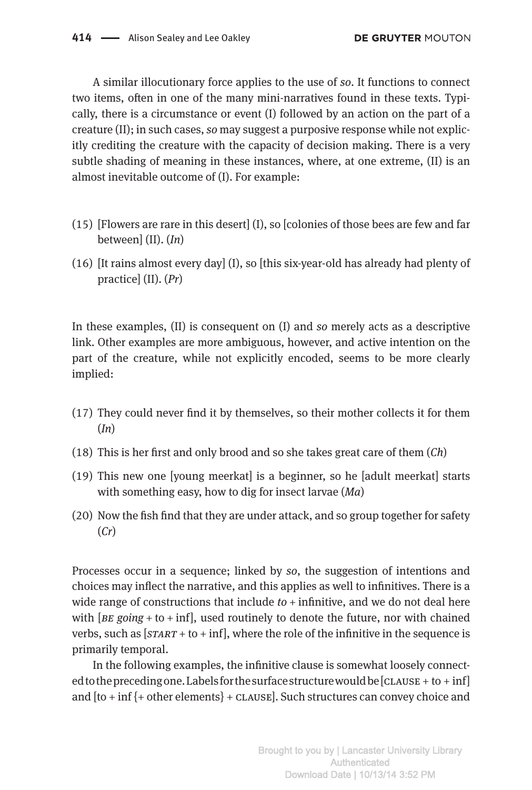A similar illocutionary force applies to the use of *so*. It functions to connect two items, often in one of the many mini-narratives found in these texts. Typically, there is a circumstance or event (I) followed by an action on the part of a creature (II); in such cases, *so* may suggest a purposive response while not explicitly crediting the creature with the capacity of decision making. There is a very subtle shading of meaning in these instances, where, at one extreme, (II) is an almost inevitable outcome of (I). For example:

- $(15)$  [Flowers are rare in this desert]  $(I)$ , so [colonies of those bees are few and far between] (II). (*In*)
- (16) [It rains almost every day] (I), so [this six-year-old has already had plenty of practice] (II). (*Pr*)

In these examples, (II) is consequent on (I) and *so* merely acts as a descriptive link. Other examples are more ambiguous, however, and active intention on the part of the creature, while not explicitly encoded, seems to be more clearly implied:

- (17) They could never find it by themselves, so their mother collects it for them (*In*)
- (18) This is her first and only brood and so she takes great care of them (*Ch*)
- (19) This new one [young meerkat] is a beginner, so he [adult meerkat] starts with something easy, how to dig for insect larvae (*Ma*)
- (20) Now the fish find that they are under attack, and so group together for safety (*Cr*)

Processes occur in a sequence; linked by *so*, the suggestion of intentions and choices may inflect the narrative, and this applies as well to infinitives. There is a wide range of constructions that include *to* + infinitive, and we do not deal here with  $[BE \text{ going} + \text{to} + \text{inf}],$  used routinely to denote the future, nor with chained verbs, such as [*start* + to + inf], where the role of the infinitive in the sequence is primarily temporal.

In the following examples, the infinitive clause is somewhat loosely connected to the preceding one. Labels for the surface structure would be  $[CLAUSE + to + inf]$ and  $[to + inf]$  + other elements} + CLAUSE]. Such structures can convey choice and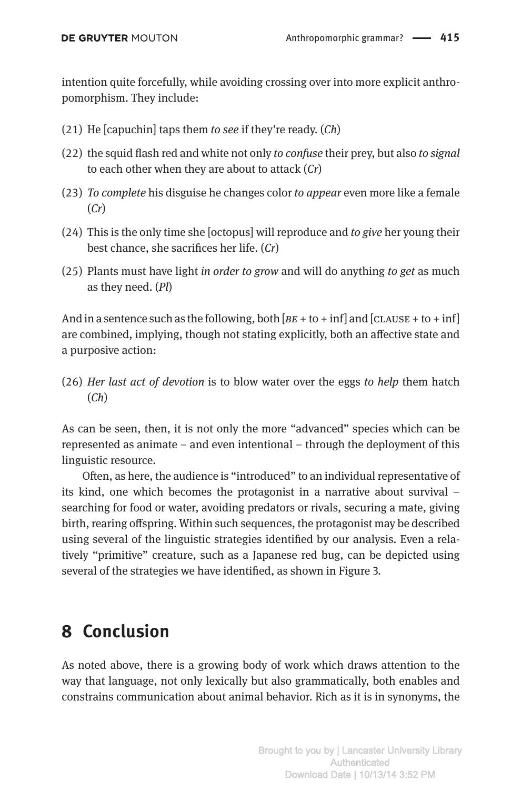intention quite forcefully, while avoiding crossing over into more explicit anthropomorphism. They include:

- (21) He [capuchin] taps them *to see* if they're ready. (*Ch*)
- (22) the squid flash red and white not only *to confuse* their prey, but also *to signal* to each other when they are about to attack (*Cr*)
- (23) *To complete* his disguise he changes color *to appear* even more like a female (*Cr*)
- (24) This is the only time she [octopus] will reproduce and *to give* her young their best chance, she sacrifices her life. (*Cr*)
- (25) Plants must have light *in order to grow* and will do anything *to get* as much as they need. (*Pl*)

And in a sentence such as the following, both  $[BE + to + inf]$  and  $[CLAUSE + to + inf]$ are combined, implying, though not stating explicitly, both an affective state and a purposive action:

(26) *Her last act of devotion* is to blow water over the eggs *to help* them hatch (*Ch*)

As can be seen, then, it is not only the more "advanced" species which can be represented as animate – and even intentional – through the deployment of this linguistic resource.

Often, as here, the audience is "introduced" to an individual representative of its kind, one which becomes the protagonist in a narrative about survival – searching for food or water, avoiding predators or rivals, securing a mate, giving birth, rearing offspring. Within such sequences, the protagonist may be described using several of the linguistic strategies identified by our analysis. Even a relatively "primitive" creature, such as a Japanese red bug, can be depicted using several of the strategies we have identified, as shown in Figure 3.

## **8 Conclusion**

As noted above, there is a growing body of work which draws attention to the way that language, not only lexically but also grammatically, both enables and constrains communication about animal behavior. Rich as it is in synonyms, the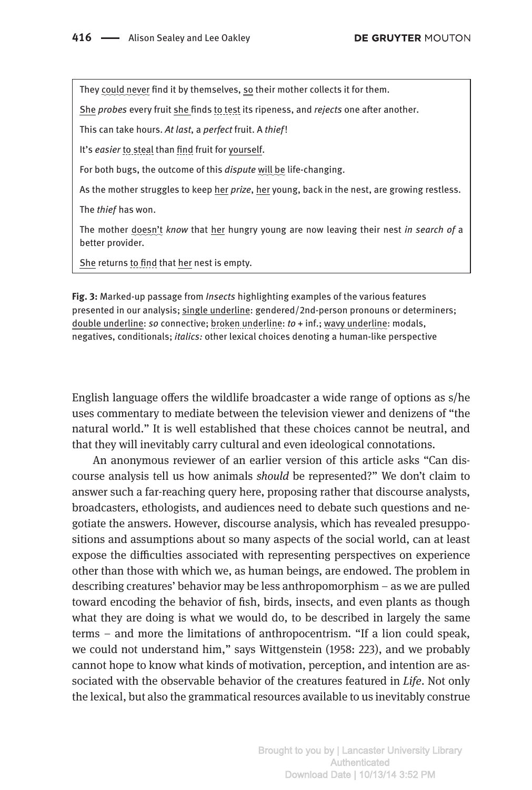They could never find it by themselves, so their mother collects it for them.

She *probes* every fruit she finds to test its ripeness, and *rejects* one after another.

This can take hours. *At last*, a *perfect* fruit. A *thief*!

It's *easier* to steal than find fruit for yourself.

For both bugs, the outcome of this *dispute* will be life-changing.

As the mother struggles to keep her *prize*, her young, back in the nest, are growing restless.

The *thief*  has won.

The mother doesn't *know* that her hungry young are now leaving their nest *in search of* a better provider.

She returns to find that her nest is empty.

**Fig. 3:** Marked-up passage from *Insects* highlighting examples of the various features presented in our analysis; single underline: gendered/2nd-person pronouns or determiners; double underline: *so* connective; broken underline: *to* + inf.; wavy underline: modals, negatives, conditionals; *italics:* other lexical choices denoting a human-like perspective

English language offers the wildlife broadcaster a wide range of options as s/he uses commentary to mediate between the television viewer and denizens of "the natural world." It is well established that these choices cannot be neutral, and that they will inevitably carry cultural and even ideological connotations.

An anonymous reviewer of an earlier version of this article asks "Can discourse analysis tell us how animals *should* be represented?" We don't claim to answer such a far-reaching query here, proposing rather that discourse analysts, broadcasters, ethologists, and audiences need to debate such questions and negotiate the answers. However, discourse analysis, which has revealed presuppositions and assumptions about so many aspects of the social world, can at least expose the difficulties associated with representing perspectives on experience other than those with which we, as human beings, are endowed. The problem in describing creatures' behavior may be less anthropomorphism – as we are pulled toward encoding the behavior of fish, birds, insects, and even plants as though what they are doing is what we would do, to be described in largely the same terms – and more the limitations of anthropocentrism. "If a lion could speak, we could not understand him," says Wittgenstein (1958: 223), and we probably cannot hope to know what kinds of motivation, perception, and intention are associated with the observable behavior of the creatures featured in *Life*. Not only the lexical, but also the grammatical resources available to us inevitably construe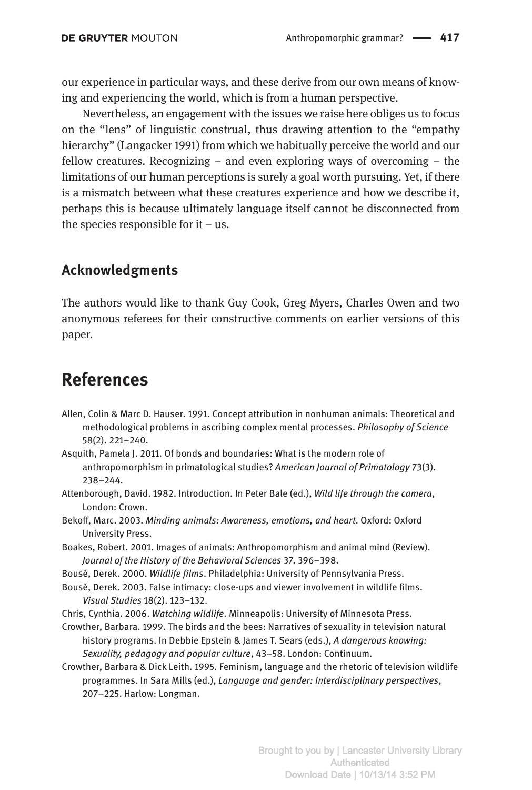our experience in particular ways, and these derive from our own means of knowing and experiencing the world, which is from a human perspective.

Nevertheless, an engagement with the issues we raise here obliges us to focus on the "lens" of linguistic construal, thus drawing attention to the "empathy hierarchy" (Langacker 1991) from which we habitually perceive the world and our fellow creatures. Recognizing – and even exploring ways of overcoming – the limitations of our human perceptions is surely a goal worth pursuing. Yet, if there is a mismatch between what these creatures experience and how we describe it, perhaps this is because ultimately language itself cannot be disconnected from the species responsible for  $it - us$ .

#### **Acknowledgments**

The authors would like to thank Guy Cook, Greg Myers, Charles Owen and two anonymous referees for their constructive comments on earlier versions of this paper.

#### **References**

- Allen, Colin & Marc D. Hauser. 1991. Concept attribution in nonhuman animals: Theoretical and methodological problems in ascribing complex mental processes. *Philosophy of Science* 58(2). 221–240.
- Asquith, Pamela J. 2011. Of bonds and boundaries: What is the modern role of anthropomorphism in primatological studies? *American Journal of Primatology* 73(3). 238–244.
- Attenborough, David. 1982. Introduction. In Peter Bale (ed.), *Wild life through the camera*, London: Crown.
- Bekoff, Marc. 2003. *Minding animals: Awareness, emotions, and heart*. Oxford: Oxford University Press.
- Boakes, Robert. 2001. Images of animals: Anthropomorphism and animal mind (Review). *Journal of the History of the Behavioral Sciences* 37. 396–398.
- Bousé, Derek. 2000. *Wildlife films*. Philadelphia: University of Pennsylvania Press.
- Bousé, Derek. 2003. False intimacy: close-ups and viewer involvement in wildlife films. *Visual Studies* 18(2). 123–132.
- Chris, Cynthia. 2006. *Watching wildlife*. Minneapolis: University of Minnesota Press.

Crowther, Barbara. 1999. The birds and the bees: Narratives of sexuality in television natural history programs. In Debbie Epstein & James T. Sears (eds.), *A dangerous knowing: Sexuality, pedagogy and popular culture*, 43–58. London: Continuum.

Crowther, Barbara & Dick Leith. 1995. Feminism, language and the rhetoric of television wildlife programmes. In Sara Mills (ed.), *Language and gender: Interdisciplinary perspectives*, 207–225. Harlow: Longman.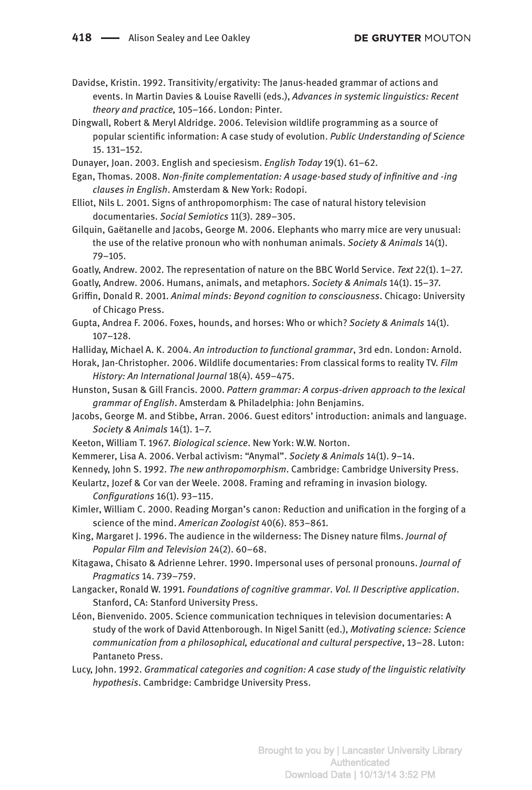Davidse, Kristin. 1992. Transitivity/ergativity: The Janus-headed grammar of actions and events. In Martin Davies & Louise Ravelli (eds.), *Advances in systemic linguistics: Recent theory and practice,* 105–166. London: Pinter.

Dingwall, Robert & Meryl Aldridge. 2006. Television wildlife programming as a source of popular scientific information: A case study of evolution. *Public Understanding of Science* 15. 131–152.

Dunayer, Joan. 2003. English and speciesism. *English Today* 19(1). 61–62.

Egan, Thomas. 2008. *Non-finite complementation: A usage-based study of infinitive and -ing clauses in English*. Amsterdam & New York: Rodopi.

- Elliot, Nils L. 2001. Signs of anthropomorphism: The case of natural history television documentaries. *Social Semiotics* 11(3). 289–305.
- Gilquin, Gaëtanelle and Jacobs, George M. 2006. Elephants who marry mice are very unusual: the use of the relative pronoun who with nonhuman animals. *Society & Animals* 14(1). 79–105.
- Goatly, Andrew. 2002. The representation of nature on the BBC World Service. *Text* 22(1). 1–27.
- Goatly, Andrew. 2006. Humans, animals, and metaphors. *Society & Animals* 14(1). 15–37.
- Griffin, Donald R. 2001. *Animal minds: Beyond cognition to consciousness*. Chicago: University of Chicago Press.
- Gupta, Andrea F. 2006. Foxes, hounds, and horses: Who or which? *Society & Animals* 14(1). 107–128.
- Halliday, Michael A. K. 2004. *An introduction to functional grammar*, 3rd edn. London: Arnold.

Horak, Jan-Christopher. 2006. Wildlife documentaries: From classical forms to reality TV. *Film History: An International Journal* 18(4). 459–475.

- Hunston, Susan & Gill Francis. 2000. *Pattern grammar: A corpus-driven approach to the lexical grammar of English*. Amsterdam & Philadelphia: John Benjamins.
- Jacobs, George M. and Stibbe, Arran. 2006. Guest editors' introduction: animals and language. *Society & Animals* 14(1). 1–7.
- Keeton, William T. 1967. *Biological science*. New York: W.W. Norton.
- Kemmerer, Lisa A. 2006. Verbal activism: "Anymal". *Society & Animals* 14(1). 9–14.
- Kennedy, John S. 1992. *The new anthropomorphism*. Cambridge: Cambridge University Press.
- Keulartz, Jozef & Cor van der Weele. 2008. Framing and reframing in invasion biology. *Configurations* 16(1). 93–115.
- Kimler, William C. 2000. Reading Morgan's canon: Reduction and unification in the forging of a science of the mind. *American Zoologist* 40(6). 853–861.

King, Margaret J. 1996. The audience in the wilderness: The Disney nature films. *Journal of Popular Film and Television* 24(2). 60–68.

- Kitagawa, Chisato & Adrienne Lehrer. 1990. Impersonal uses of personal pronouns. *Journal of Pragmatics* 14. 739–759.
- Langacker, Ronald W. 1991. *Foundations of cognitive grammar*. *Vol. II Descriptive application*. Stanford, CA: Stanford University Press.
- Léon, Bienvenido. 2005. Science communication techniques in television documentaries: A study of the work of David Attenborough. In Nigel Sanitt (ed.), *Motivating science: Science communication from a philosophical, educational and cultural perspective*, 13–28. Luton: Pantaneto Press.
- Lucy, John. 1992. *Grammatical categories and cognition: A case study of the linguistic relativity hypothesis*. Cambridge: Cambridge University Press.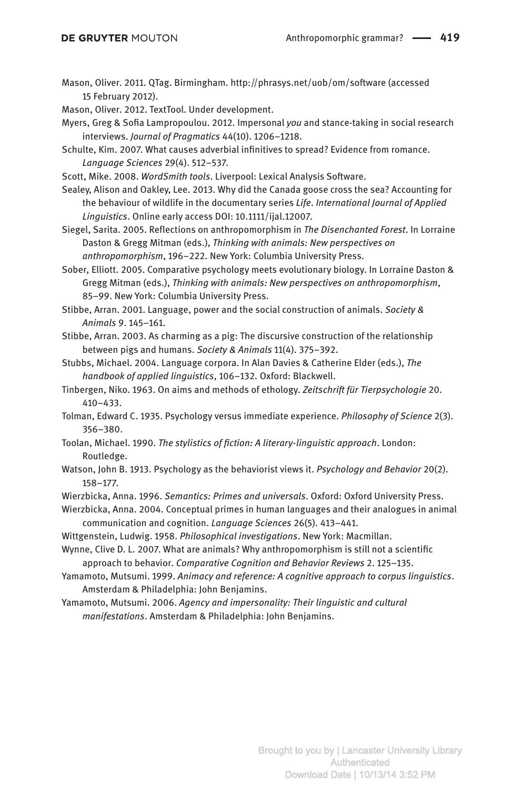Mason, Oliver. 2011. QTag. Birmingham. http://phrasys.net/uob/om/software (accessed 15 February 2012).

Mason, Oliver. 2012. TextTool. Under development.

Myers, Greg & Sofia Lampropoulou. 2012. Impersonal *you* and stance-taking in social research interviews. *Journal of Pragmatics* 44(10). 1206–1218.

Schulte, Kim. 2007. What causes adverbial infinitives to spread? Evidence from romance. *Language Sciences* 29(4). 512–537.

Scott, Mike. 2008. *WordSmith tools*. Liverpool: Lexical Analysis Software.

Sealey, Alison and Oakley, Lee. 2013. Why did the Canada goose cross the sea? Accounting for the behaviour of wildlife in the documentary series *Life*. *International Journal of Applied Linguistics*. Online early access DOI: 10.1111/ijal.12007.

Siegel, Sarita. 2005. Reflections on anthropomorphism in *The Disenchanted Forest*. In Lorraine Daston & Gregg Mitman (eds.), *Thinking with animals: New perspectives on anthropomorphism*, 196–222. New York: Columbia University Press.

Sober, Elliott. 2005. Comparative psychology meets evolutionary biology. In Lorraine Daston & Gregg Mitman (eds.), *Thinking with animals: New perspectives on anthropomorphism*, 85–99. New York: Columbia University Press.

Stibbe, Arran. 2001. Language, power and the social construction of animals. *Society & Animals* 9. 145–161.

Stibbe, Arran. 2003. As charming as a pig: The discursive construction of the relationship between pigs and humans. *Society & Animals* 11(4). 375–392.

Stubbs, Michael. 2004. Language corpora. In Alan Davies & Catherine Elder (eds.), *The handbook of applied linguistics*, 106–132. Oxford: Blackwell.

Tinbergen, Niko. 1963. On aims and methods of ethology. *Zeitschrift für Tierpsychologie* 20. 410–433.

Tolman, Edward C. 1935. Psychology versus immediate experience. *Philosophy of Science* 2(3). 356–380.

Toolan, Michael. 1990. *The stylistics of fiction: A literary-linguistic approach*. London: Routledge.

Watson, John B. 1913. Psychology as the behaviorist views it. *Psychology and Behavior* 20(2). 158–177.

Wierzbicka, Anna. 1996. *Semantics: Primes and universals*. Oxford: Oxford University Press.

Wierzbicka, Anna. 2004. Conceptual primes in human languages and their analogues in animal communication and cognition. *Language Sciences* 26(5). 413–441.

Wittgenstein, Ludwig. 1958. *Philosophical investigations*. New York: Macmillan.

Wynne, Clive D. L. 2007. What are animals? Why anthropomorphism is still not a scientific approach to behavior. *Comparative Cognition and Behavior Reviews* 2. 125–135.

Yamamoto, Mutsumi. 1999. *Animacy and reference: A cognitive approach to corpus linguistics*. Amsterdam & Philadelphia: John Benjamins.

Yamamoto, Mutsumi. 2006. *Agency and impersonality: Their linguistic and cultural manifestations*. Amsterdam & Philadelphia: John Benjamins.